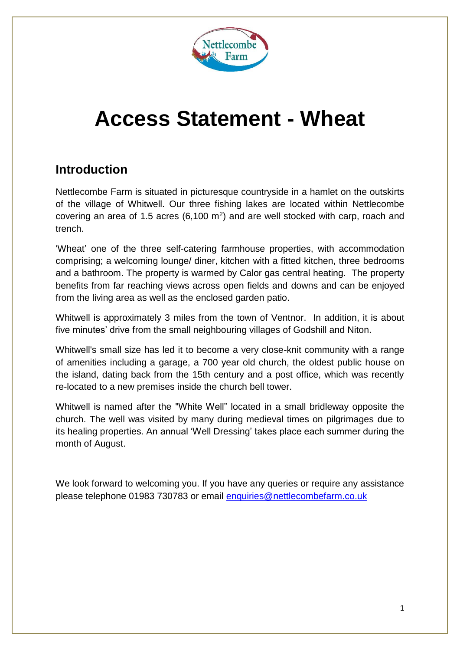

# **Access Statement - Wheat**

## **Introduction**

Nettlecombe Farm is situated in picturesque countryside in a hamlet on the outskirts of the village of Whitwell. Our three fishing lakes are located within Nettlecombe covering an area of 1.5 acres  $(6,100 \text{ m}^2)$  and are well stocked with carp, roach and trench.

'Wheat' one of the three self-catering farmhouse properties, with accommodation comprising; a welcoming lounge/ diner, kitchen with a fitted kitchen, three bedrooms and a bathroom. The property is warmed by Calor gas central heating. The property benefits from far reaching views across open fields and downs and can be enjoyed from the living area as well as the enclosed garden patio.

Whitwell is approximately 3 miles from the town of Ventnor. In addition, it is about five minutes' drive from the small neighbouring villages of Godshill and Niton.

Whitwell's small size has led it to become a very close-knit community with a range of amenities including a garage, a 700 year old church, the oldest public house on the island, dating back from the 15th century and a post office, which was recently re-located to a new premises inside the church bell tower.

Whitwell is named after the "White Well" located in a small bridleway opposite the church. The well was visited by many during medieval times on pilgrimages due to its healing properties. An annual 'Well Dressing' takes place each summer during the month of August.

We look forward to welcoming you. If you have any queries or require any assistance please telephone 01983 730783 or email [enquiries@nettlecombefarm.co.uk](mailto:enquiries@nettlecombefarm.co.uk)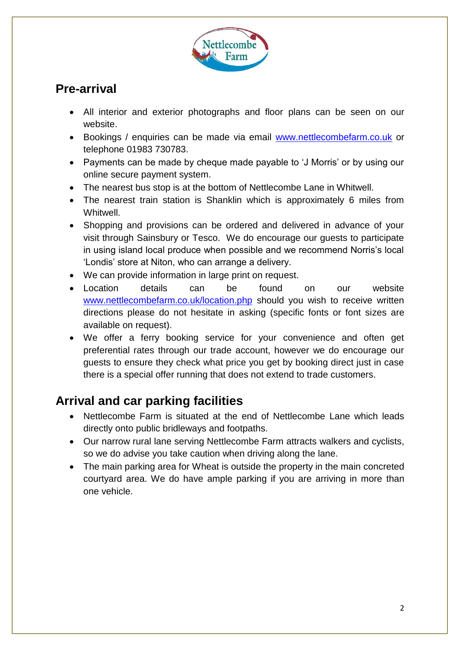

## **Pre-arrival**

- All interior and exterior photographs and floor plans can be seen on our website.
- Bookings / enquiries can be made via email [www.nettlecombefarm.co.uk](http://www.nettlecombefarm.co.uk/) or telephone 01983 730783.
- Payments can be made by cheque made payable to 'J Morris' or by using our online secure payment system.
- The nearest bus stop is at the bottom of Nettlecombe Lane in Whitwell.
- The nearest train station is Shanklin which is approximately 6 miles from Whitwell.
- Shopping and provisions can be ordered and delivered in advance of your visit through Sainsbury or Tesco. We do encourage our guests to participate in using island local produce when possible and we recommend Norris's local 'Londis' store at Niton, who can arrange a delivery.
- We can provide information in large print on request.
- Location details can be found on our website [www.nettlecombefarm.co.uk/location.php](http://www.nettlecombefarm.co.uk/location.php) should you wish to receive written directions please do not hesitate in asking (specific fonts or font sizes are available on request).
- We offer a ferry booking service for your convenience and often get preferential rates through our trade account, however we do encourage our guests to ensure they check what price you get by booking direct just in case there is a special offer running that does not extend to trade customers.

## **Arrival and car parking facilities**

- Nettlecombe Farm is situated at the end of Nettlecombe Lane which leads directly onto public bridleways and footpaths.
- Our narrow rural lane serving Nettlecombe Farm attracts walkers and cyclists, so we do advise you take caution when driving along the lane.
- The main parking area for Wheat is outside the property in the main concreted courtyard area. We do have ample parking if you are arriving in more than one vehicle.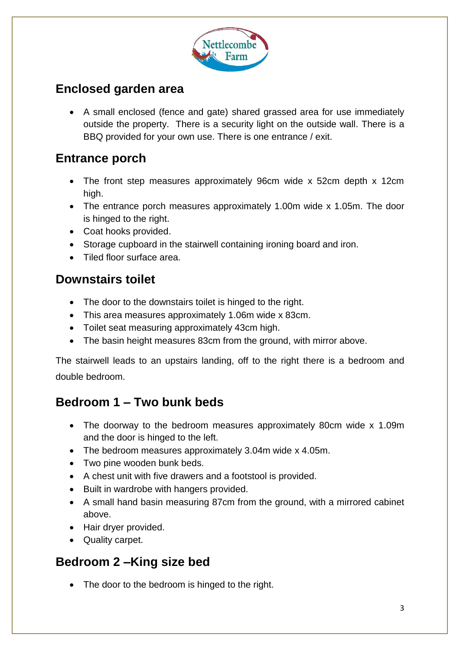

# **Enclosed garden area**

 A small enclosed (fence and gate) shared grassed area for use immediately outside the property. There is a security light on the outside wall. There is a BBQ provided for your own use. There is one entrance / exit.

## **Entrance porch**

- The front step measures approximately 96cm wide x 52cm depth x 12cm high.
- The entrance porch measures approximately 1.00m wide x 1.05m. The door is hinged to the right.
- Coat hooks provided.
- Storage cupboard in the stairwell containing ironing board and iron.
- Tiled floor surface area.

## **Downstairs toilet**

- The door to the downstairs toilet is hinged to the right.
- This area measures approximately 1.06m wide x 83cm.
- Toilet seat measuring approximately 43cm high.
- The basin height measures 83cm from the ground, with mirror above.

The stairwell leads to an upstairs landing, off to the right there is a bedroom and double bedroom.

## **Bedroom 1 – Two bunk beds**

- The doorway to the bedroom measures approximately 80cm wide x 1.09m and the door is hinged to the left.
- The bedroom measures approximately 3.04m wide x 4.05m.
- Two pine wooden bunk beds.
- A chest unit with five drawers and a footstool is provided.
- Built in wardrobe with hangers provided.
- A small hand basin measuring 87cm from the ground, with a mirrored cabinet above.
- Hair dryer provided.
- Quality carpet.

## **Bedroom 2 –King size bed**

• The door to the bedroom is hinged to the right.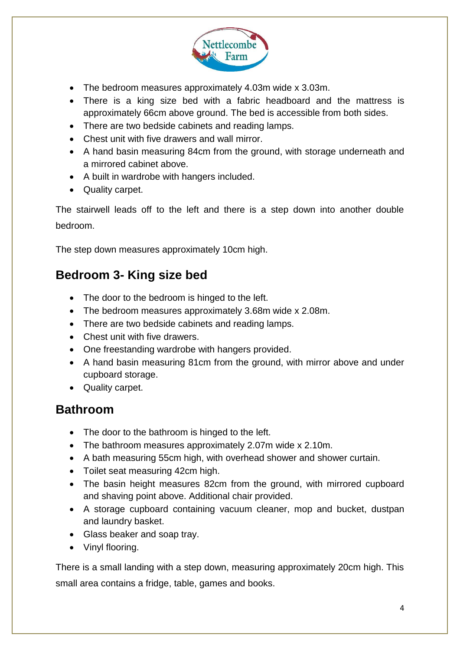

- The bedroom measures approximately 4.03m wide x 3.03m.
- There is a king size bed with a fabric headboard and the mattress is approximately 66cm above ground. The bed is accessible from both sides.
- There are two bedside cabinets and reading lamps.
- Chest unit with five drawers and wall mirror.
- A hand basin measuring 84cm from the ground, with storage underneath and a mirrored cabinet above.
- A built in wardrobe with hangers included.
- Quality carpet.

The stairwell leads off to the left and there is a step down into another double bedroom.

The step down measures approximately 10cm high.

## **Bedroom 3- King size bed**

- The door to the bedroom is hinged to the left.
- The bedroom measures approximately 3.68m wide x 2.08m.
- There are two bedside cabinets and reading lamps.
- Chest unit with five drawers.
- One freestanding wardrobe with hangers provided.
- A hand basin measuring 81cm from the ground, with mirror above and under cupboard storage.
- Quality carpet.

#### **Bathroom**

- The door to the bathroom is hinged to the left.
- The bathroom measures approximately 2.07m wide x 2.10m.
- A bath measuring 55cm high, with overhead shower and shower curtain.
- Toilet seat measuring 42cm high.
- The basin height measures 82cm from the ground, with mirrored cupboard and shaving point above. Additional chair provided.
- A storage cupboard containing vacuum cleaner, mop and bucket, dustpan and laundry basket.
- Glass beaker and soap tray.
- Vinyl flooring.

There is a small landing with a step down, measuring approximately 20cm high. This small area contains a fridge, table, games and books.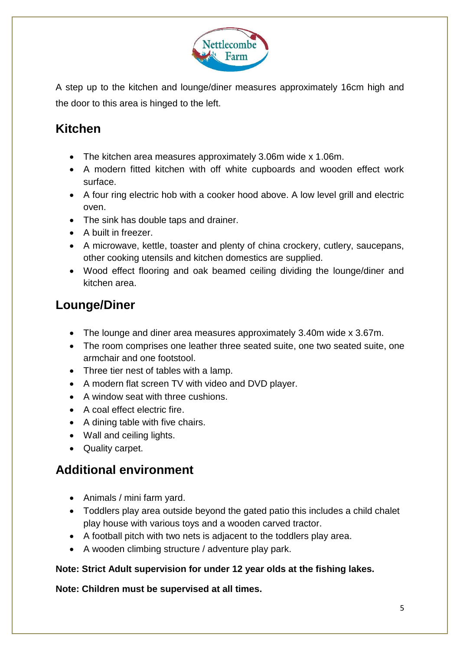

A step up to the kitchen and lounge/diner measures approximately 16cm high and the door to this area is hinged to the left.

# **Kitchen**

- The kitchen area measures approximately 3.06m wide x 1.06m.
- A modern fitted kitchen with off white cupboards and wooden effect work surface.
- A four ring electric hob with a cooker hood above. A low level grill and electric oven.
- The sink has double taps and drainer.
- A built in freezer.
- A microwave, kettle, toaster and plenty of china crockery, cutlery, saucepans, other cooking utensils and kitchen domestics are supplied.
- Wood effect flooring and oak beamed ceiling dividing the lounge/diner and kitchen area.

# **Lounge/Diner**

- The lounge and diner area measures approximately 3.40m wide x 3.67m.
- The room comprises one leather three seated suite, one two seated suite, one armchair and one footstool.
- Three tier nest of tables with a lamp.
- A modern flat screen TV with video and DVD player.
- A window seat with three cushions.
- A coal effect electric fire.
- A dining table with five chairs.
- Wall and ceiling lights.
- Quality carpet.

## **Additional environment**

- Animals / mini farm yard.
- Toddlers play area outside beyond the gated patio this includes a child chalet play house with various toys and a wooden carved tractor.
- A football pitch with two nets is adjacent to the toddlers play area.
- A wooden climbing structure / adventure play park.

#### **Note: Strict Adult supervision for under 12 year olds at the fishing lakes.**

#### **Note: Children must be supervised at all times.**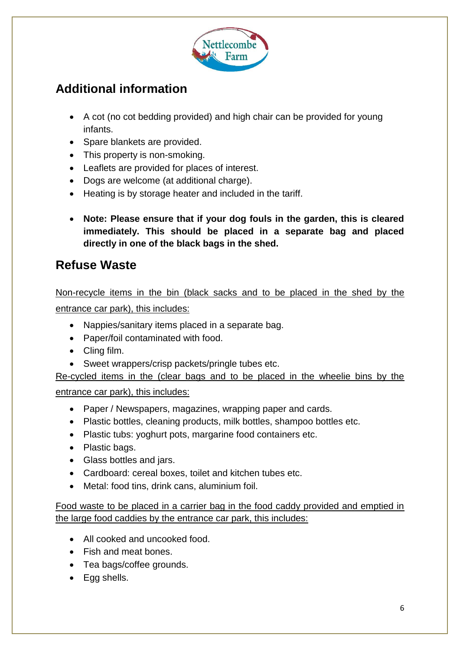

# **Additional information**

- A cot (no cot bedding provided) and high chair can be provided for young infants.
- Spare blankets are provided.
- This property is non-smoking.
- Leaflets are provided for places of interest.
- Dogs are welcome (at additional charge).
- Heating is by storage heater and included in the tariff.
- **Note: Please ensure that if your dog fouls in the garden, this is cleared immediately. This should be placed in a separate bag and placed directly in one of the black bags in the shed.**

#### **Refuse Waste**

#### Non-recycle items in the bin (black sacks and to be placed in the shed by the entrance car park), this includes:

- Nappies/sanitary items placed in a separate bag.
- Paper/foil contaminated with food.
- Cling film.
- Sweet wrappers/crisp packets/pringle tubes etc.

Re-cycled items in the (clear bags and to be placed in the wheelie bins by the

#### entrance car park), this includes:

- Paper / Newspapers, magazines, wrapping paper and cards.
- Plastic bottles, cleaning products, milk bottles, shampoo bottles etc.
- Plastic tubs: yoghurt pots, margarine food containers etc.
- Plastic bags.
- Glass bottles and jars.
- Cardboard: cereal boxes, toilet and kitchen tubes etc.
- Metal: food tins, drink cans, aluminium foil.

Food waste to be placed in a carrier bag in the food caddy provided and emptied in the large food caddies by the entrance car park, this includes:

- All cooked and uncooked food.
- Fish and meat bones.
- Tea bags/coffee grounds.
- Egg shells.